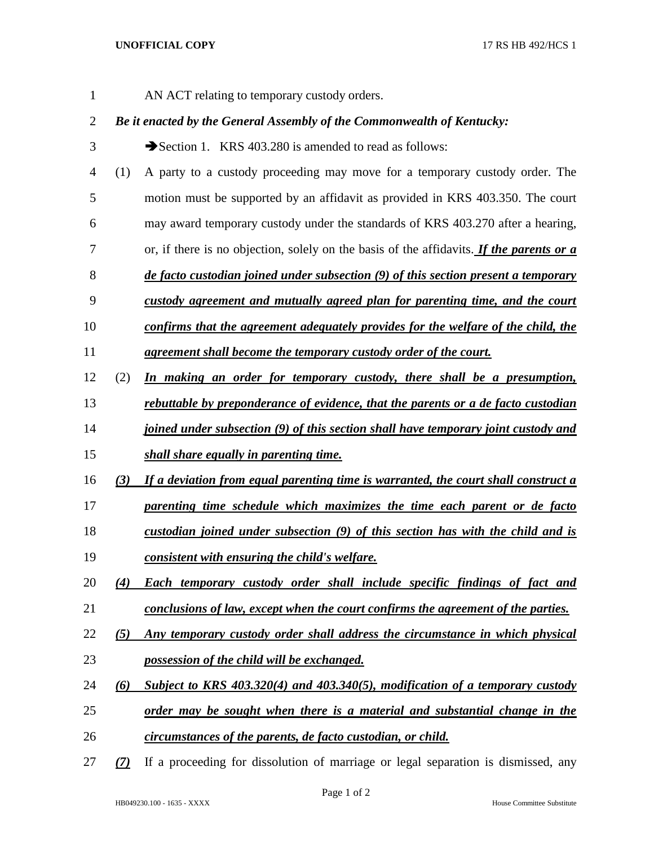AN ACT relating to temporary custody orders.

## *Be it enacted by the General Assembly of the Commonwealth of Kentucky:*

- 3 Section 1. KRS 403.280 is amended to read as follows:
- (1) A party to a custody proceeding may move for a temporary custody order. The motion must be supported by an affidavit as provided in KRS 403.350. The court
- may award temporary custody under the standards of KRS 403.270 after a hearing,
- or, if there is no objection, solely on the basis of the affidavits. *If the parents or a*
- *de facto custodian joined under subsection (9) of this section present a temporary*
- *custody agreement and mutually agreed plan for parenting time, and the court*
- *confirms that the agreement adequately provides for the welfare of the child, the*
- *agreement shall become the temporary custody order of the court.*
- (2) *In making an order for temporary custody, there shall be a presumption,*
- *rebuttable by preponderance of evidence, that the parents or a de facto custodian*
- *joined under subsection (9) of this section shall have temporary joint custody and*
- *shall share equally in parenting time.*
- *(3) If a deviation from equal parenting time is warranted, the court shall construct a*
- *parenting time schedule which maximizes the time each parent or de facto*
- *custodian joined under subsection (9) of this section has with the child and is*
- *consistent with ensuring the child's welfare.*
- *(4) Each temporary custody order shall include specific findings of fact and conclusions of law, except when the court confirms the agreement of the parties.*
- *(5) Any temporary custody order shall address the circumstance in which physical possession of the child will be exchanged.*
- *(6) Subject to KRS 403.320(4) and 403.340(5), modification of a temporary custody*
- *order may be sought when there is a material and substantial change in the*
- *circumstances of the parents, de facto custodian, or child.*
- *(7)* If a proceeding for dissolution of marriage or legal separation is dismissed, any